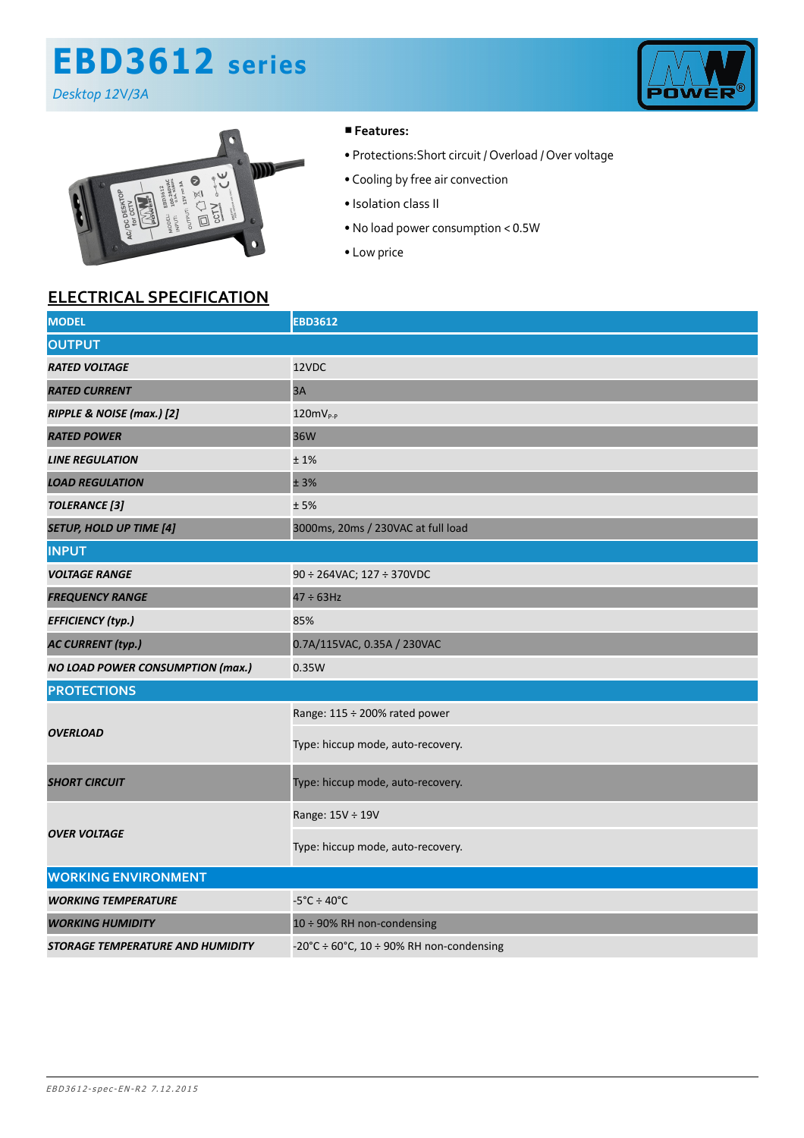# **EBD3612 series**

*Desktop 12*V*/3A*





### ■**Features:**

- Protections:Short circuit / Overload / Over voltage
- Cooling by free air convection
- Isolation class II
- No load power consumption < 0.5W
- Low price

### **ELECTRICAL SPECIFICATION**

| <b>MODEL</b>                            | <b>EBD3612</b>                                     |
|-----------------------------------------|----------------------------------------------------|
| <b>OUTPUT</b>                           |                                                    |
| <b>RATED VOLTAGE</b>                    | 12VDC                                              |
| <b>RATED CURRENT</b>                    | 3A                                                 |
| RIPPLE & NOISE (max.) [2]               | $120mVP-P$                                         |
| <b>RATED POWER</b>                      | 36W                                                |
| <b>LINE REGULATION</b>                  | ±1%                                                |
| <b>LOAD REGULATION</b>                  | ± 3%                                               |
| <b>TOLERANCE</b> [3]                    | ±5%                                                |
| <b>SETUP, HOLD UP TIME [4]</b>          | 3000ms, 20ms / 230VAC at full load                 |
| <b>INPUT</b>                            |                                                    |
| <b>VOLTAGE RANGE</b>                    | 90 ÷ 264VAC; 127 ÷ 370VDC                          |
| <b>FREQUENCY RANGE</b>                  | $47 \div 63$ Hz                                    |
| <b>EFFICIENCY (typ.)</b>                | 85%                                                |
| <b>AC CURRENT (typ.)</b>                | 0.7A/115VAC, 0.35A / 230VAC                        |
| <b>NO LOAD POWER CONSUMPTION (max.)</b> | 0.35W                                              |
| <b>PROTECTIONS</b>                      |                                                    |
| <b>OVERLOAD</b>                         | Range: 115 ÷ 200% rated power                      |
|                                         | Type: hiccup mode, auto-recovery.                  |
| <b>SHORT CIRCUIT</b>                    | Type: hiccup mode, auto-recovery.                  |
| <b>OVER VOLTAGE</b>                     | Range: 15V ÷ 19V                                   |
|                                         | Type: hiccup mode, auto-recovery.                  |
| <b>WORKING ENVIRONMENT</b>              |                                                    |
| <b>WORKING TEMPERATURE</b>              | $-5^{\circ}$ C ÷ 40 $^{\circ}$ C                   |
| <b>WORKING HUMIDITY</b>                 | 10 ÷ 90% RH non-condensing                         |
| STORAGE TEMPERATURE AND HUMIDITY        | -20°C $\div$ 60°C, 10 $\div$ 90% RH non-condensing |